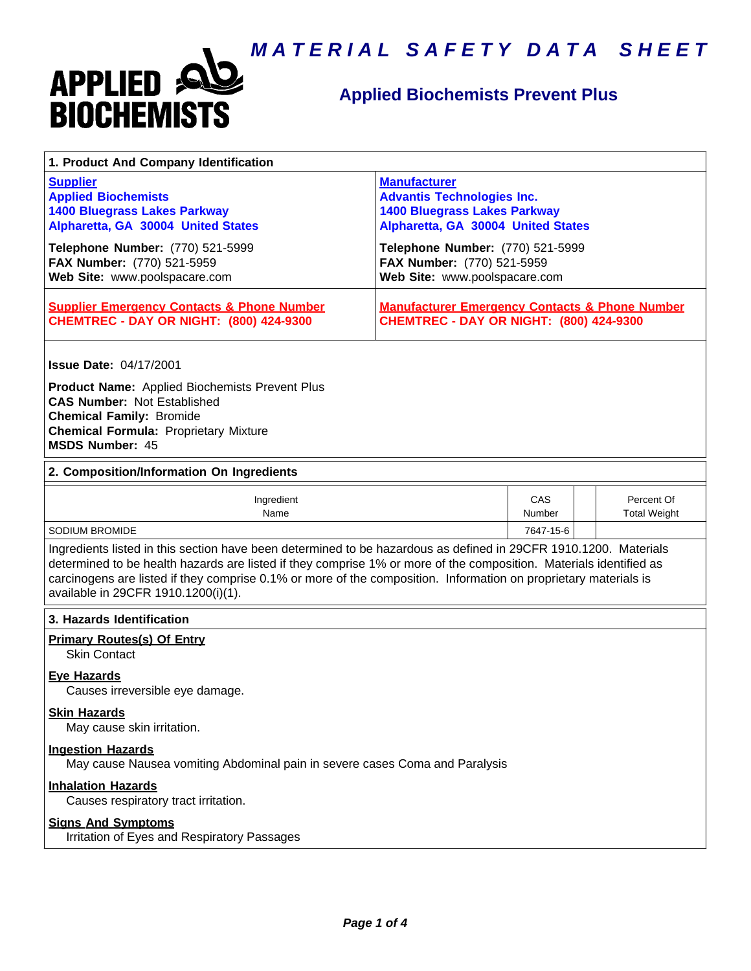

# **Applied Biochemists Prevent Plus**

| 1. Product And Company Identification                                                                                                                                                                                                                                                                                                                                                             |                                                                                                                                       |               |                                   |  |  |
|---------------------------------------------------------------------------------------------------------------------------------------------------------------------------------------------------------------------------------------------------------------------------------------------------------------------------------------------------------------------------------------------------|---------------------------------------------------------------------------------------------------------------------------------------|---------------|-----------------------------------|--|--|
| <b>Supplier</b><br><b>Applied Biochemists</b><br><b>1400 Bluegrass Lakes Parkway</b><br>Alpharetta, GA 30004 United States                                                                                                                                                                                                                                                                        | <b>Manufacturer</b><br><b>Advantis Technologies Inc.</b><br><b>1400 Bluegrass Lakes Parkway</b><br>Alpharetta, GA 30004 United States |               |                                   |  |  |
| Telephone Number: (770) 521-5999<br>FAX Number: (770) 521-5959<br>Web Site: www.poolspacare.com                                                                                                                                                                                                                                                                                                   | Telephone Number: (770) 521-5999<br>FAX Number: (770) 521-5959<br>Web Site: www.poolspacare.com                                       |               |                                   |  |  |
| <b>Supplier Emergency Contacts &amp; Phone Number</b><br><b>CHEMTREC - DAY OR NIGHT: (800) 424-9300</b>                                                                                                                                                                                                                                                                                           | <b>Manufacturer Emergency Contacts &amp; Phone Number</b><br><b>CHEMTREC - DAY OR NIGHT: (800) 424-9300</b>                           |               |                                   |  |  |
| <b>Issue Date: 04/17/2001</b><br><b>Product Name:</b> Applied Biochemists Prevent Plus                                                                                                                                                                                                                                                                                                            |                                                                                                                                       |               |                                   |  |  |
| <b>CAS Number: Not Established</b><br><b>Chemical Family: Bromide</b><br><b>Chemical Formula: Proprietary Mixture</b><br><b>MSDS Number: 45</b>                                                                                                                                                                                                                                                   |                                                                                                                                       |               |                                   |  |  |
| 2. Composition/Information On Ingredients                                                                                                                                                                                                                                                                                                                                                         |                                                                                                                                       |               |                                   |  |  |
| Ingredient<br>Name                                                                                                                                                                                                                                                                                                                                                                                |                                                                                                                                       | CAS<br>Number | Percent Of<br><b>Total Weight</b> |  |  |
| <b>SODIUM BROMIDE</b>                                                                                                                                                                                                                                                                                                                                                                             |                                                                                                                                       | 7647-15-6     |                                   |  |  |
| Ingredients listed in this section have been determined to be hazardous as defined in 29CFR 1910.1200. Materials<br>determined to be health hazards are listed if they comprise 1% or more of the composition. Materials identified as<br>carcinogens are listed if they comprise 0.1% or more of the composition. Information on proprietary materials is<br>available in 29CFR 1910.1200(i)(1). |                                                                                                                                       |               |                                   |  |  |
| 3. Hazards Identification                                                                                                                                                                                                                                                                                                                                                                         |                                                                                                                                       |               |                                   |  |  |
| <b>Primary Routes(s) Of Entry</b><br><b>Skin Contact</b>                                                                                                                                                                                                                                                                                                                                          |                                                                                                                                       |               |                                   |  |  |
| <b>Eve Hazards</b><br>Causes irreversible eye damage.                                                                                                                                                                                                                                                                                                                                             |                                                                                                                                       |               |                                   |  |  |
| <b>Skin Hazards</b><br>May cause skin irritation.                                                                                                                                                                                                                                                                                                                                                 |                                                                                                                                       |               |                                   |  |  |
| <b>Ingestion Hazards</b><br>May cause Nausea vomiting Abdominal pain in severe cases Coma and Paralysis                                                                                                                                                                                                                                                                                           |                                                                                                                                       |               |                                   |  |  |
| <b>Inhalation Hazards</b><br>Causes respiratory tract irritation.                                                                                                                                                                                                                                                                                                                                 |                                                                                                                                       |               |                                   |  |  |
| <b>Signs And Symptoms</b><br>Irritation of Eyes and Respiratory Passages                                                                                                                                                                                                                                                                                                                          |                                                                                                                                       |               |                                   |  |  |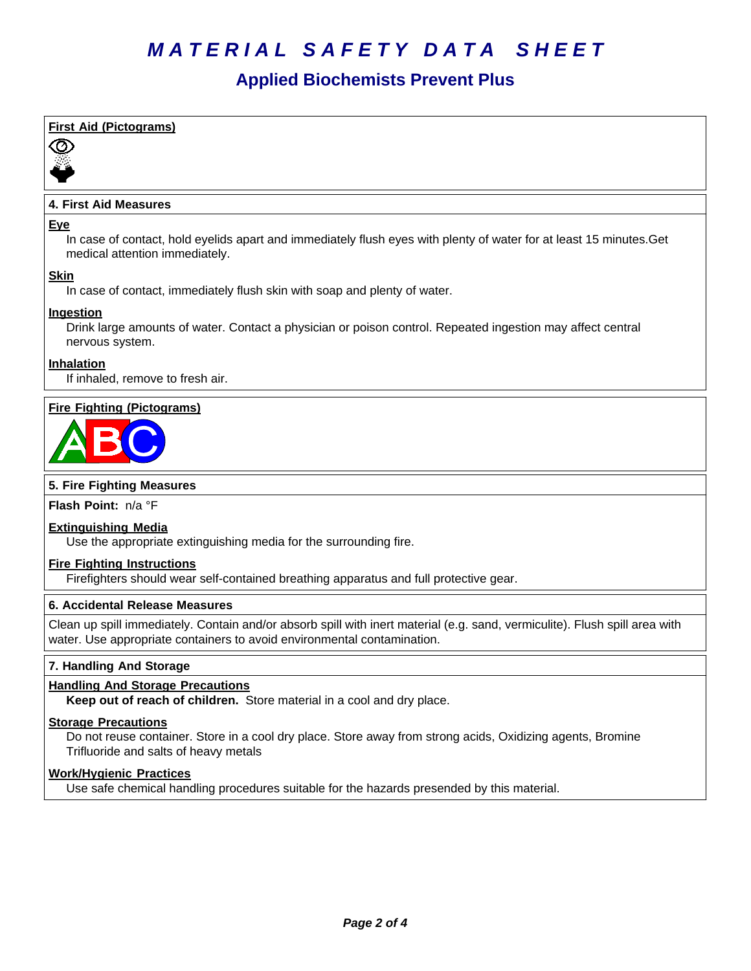# **Applied Biochemists Prevent Plus**

# **First Aid (Pictograms)**



# **4. First Aid Measures**

#### **Eye**

In case of contact, hold eyelids apart and immediately flush eyes with plenty of water for at least 15 minutes.Get medical attention immediately.

## **Skin**

In case of contact, immediately flush skin with soap and plenty of water.

## **Ingestion**

Drink large amounts of water. Contact a physician or poison control. Repeated ingestion may affect central nervous system.

#### **Inhalation**

If inhaled, remove to fresh air.

# **Fire Fighting (Pictograms)**



#### **5. Fire Fighting Measures**

**Flash Point:** n/a°F

#### **Extinguishing Media**

Use the appropriate extinguishing media for the surrounding fire.

## **Fire Fighting Instructions**

Firefighters should wear self-contained breathing apparatus and full protective gear.

#### **6.Accidental ReleaseMeasures**

Clean up spill immediately. Contain and/or absorb spill with inert material (e.g. sand, vermiculite). Flush spill area with water. Use appropriate containers to avoid environmental contamination.

## **7. Handling And Storage**

## **Handling And Storage Precautions**

**Keep out of reach of children.** Store material in a cool and dry place.

# **Storage Precautions**

Do not reuse container. Store in a cool dry place. Store away from strong acids, Oxidizing agents, Bromine Trifluoride and salts of heavy metals

## **Work/Hygienic Practices**

Use safe chemical handling procedures suitable for the hazards presended by this material.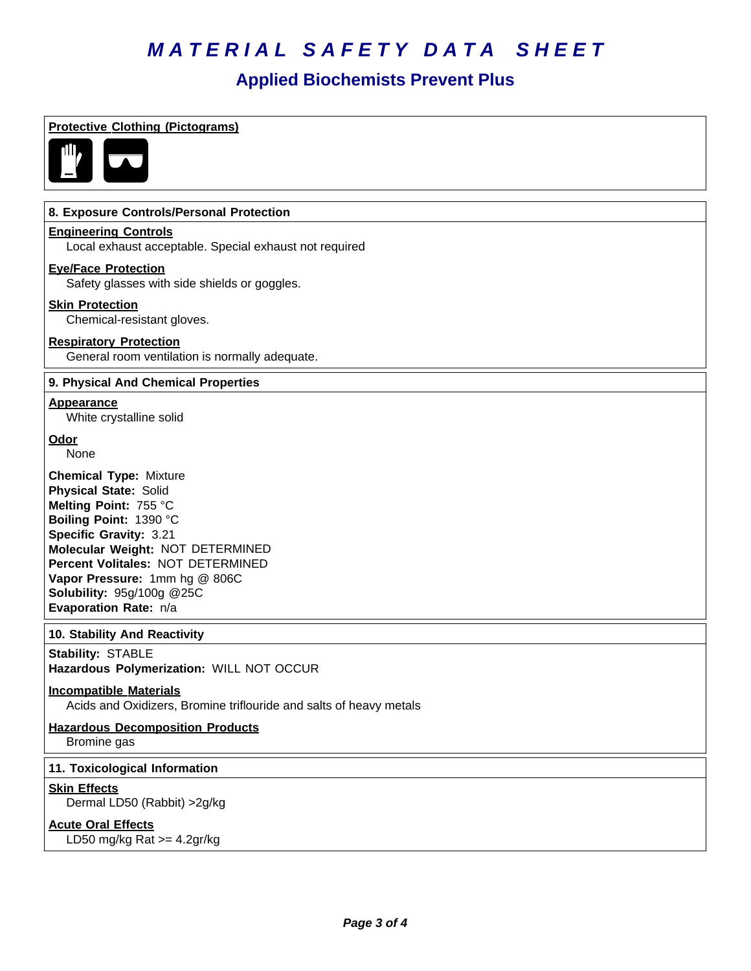# **Applied Biochemists Prevent Plus**

| <b>Protective Clothing (Pictograms)</b>                                                                                                                                                                                                                                                                           |
|-------------------------------------------------------------------------------------------------------------------------------------------------------------------------------------------------------------------------------------------------------------------------------------------------------------------|
|                                                                                                                                                                                                                                                                                                                   |
| 8. Exposure Controls/Personal Protection                                                                                                                                                                                                                                                                          |
| <b>Engineering Controls</b><br>Local exhaust acceptable. Special exhaust not required                                                                                                                                                                                                                             |
| <b>Eye/Face Protection</b><br>Safety glasses with side shields or goggles.                                                                                                                                                                                                                                        |
| <b>Skin Protection</b><br>Chemical-resistant gloves.                                                                                                                                                                                                                                                              |
| <b>Respiratory Protection</b><br>General room ventilation is normally adequate.                                                                                                                                                                                                                                   |
| 9. Physical And Chemical Properties                                                                                                                                                                                                                                                                               |
| <b>Appearance</b><br>White crystalline solid                                                                                                                                                                                                                                                                      |
| <b>Odor</b><br>None                                                                                                                                                                                                                                                                                               |
| <b>Chemical Type: Mixture</b><br><b>Physical State: Solid</b><br>Melting Point: 755 °C<br>Boiling Point: 1390 °C<br>Specific Gravity: 3.21<br>Molecular Weight: NOT DETERMINED<br>Percent Volitales: NOT DETERMINED<br>Vapor Pressure: 1mm hg @ 806C<br><b>Solubility: 95g/100g @25C</b><br>Evaporation Rate: n/a |
| 10. Stability And Reactivity                                                                                                                                                                                                                                                                                      |
| <b>Stability: STABLE</b><br>Hazardous Polymerization: WILL NOT OCCUR                                                                                                                                                                                                                                              |
| <b>Incompatible Materials</b><br>Acids and Oxidizers, Bromine triflouride and salts of heavy metals                                                                                                                                                                                                               |
| <b>Hazardous Decomposition Products</b><br>Bromine gas                                                                                                                                                                                                                                                            |
| 11. Toxicological Information                                                                                                                                                                                                                                                                                     |
| <b>Skin Effects</b><br>Dermal LD50 (Rabbit) > 2g/kg                                                                                                                                                                                                                                                               |
| <b>Acute Oral Effects</b><br>LD50 mg/kg Rat $>=$ 4.2gr/kg                                                                                                                                                                                                                                                         |